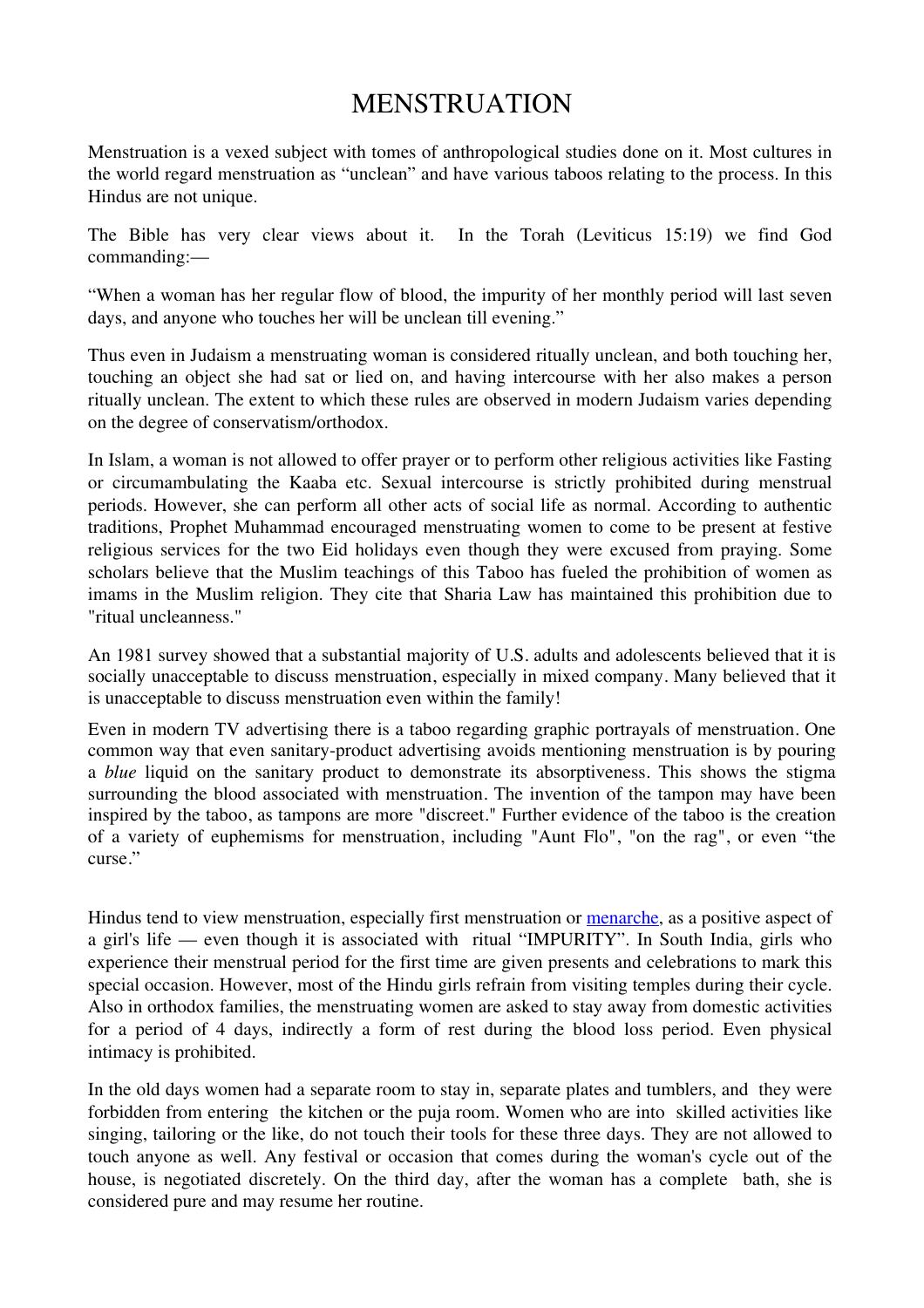# MENSTRUATION

Menstruation is a vexed subject with tomes of anthropological studies done on it. Most cultures in the world regard menstruation as "unclean" and have various taboos relating to the process. In this Hindus are not unique.

The Bible has very clear views about it. In the Torah (Leviticus 15:19) we find God commanding:—

"When a woman has her regular flow of blood, the impurity of her monthly period will last seven days, and anyone who touches her will be unclean till evening."

Thus even in Judaism a menstruating woman is considered ritually unclean, and both touching her, touching an object she had sat or lied on, and having intercourse with her also makes a person ritually unclean. The extent to which these rules are observed in modern Judaism varies depending on the degree of conservatism/orthodox.

In Islam, a woman is not allowed to offer prayer or to perform other religious activities like Fasting or circumambulating the Kaaba etc. Sexual intercourse is strictly prohibited during menstrual periods. However, she can perform all other acts of social life as normal. According to authentic traditions, Prophet Muhammad encouraged menstruating women to come to be present at festive religious services for the two Eid holidays even though they were excused from praying. Some scholars believe that the Muslim teachings of this Taboo has fueled the prohibition of women as imams in the Muslim religion. They cite that Sharia Law has maintained this prohibition due to "ritual uncleanness."

An 1981 survey showed that a substantial majority of U.S. adults and adolescents believed that it is socially unacceptable to discuss menstruation, especially in mixed company. Many believed that it is unacceptable to discuss menstruation even within the family!

Even in modern TV advertising there is a taboo regarding graphic portrayals of menstruation. One common way that even sanitary-product advertising avoids mentioning menstruation is by pouring a *blue* liquid on the sanitary product to demonstrate its absorptiveness. This shows the stigma surrounding the blood associated with menstruation. The invention of the tampon may have been inspired by the taboo, as tampons are more "discreet." Further evidence of the taboo is the creation of a variety of euphemisms for menstruation, including "Aunt Flo", "on the rag", or even "the curse."

Hindus tend to view menstruation, especially first menstruation or menarche, as a positive aspect of a girl's life — even though it is associated with ritual "IMPURITY". In South India, girls who experience their menstrual period for the first time are given presents and celebrations to mark this special occasion. However, most of the Hindu girls refrain from visiting temples during their cycle. Also in orthodox families, the menstruating women are asked to stay away from domestic activities for a period of 4 days, indirectly a form of rest during the blood loss period. Even physical intimacy is prohibited.

In the old days women had a separate room to stay in, separate plates and tumblers, and they were forbidden from entering the kitchen or the puja room. Women who are into skilled activities like singing, tailoring or the like, do not touch their tools for these three days. They are not allowed to touch anyone as well. Any festival or occasion that comes during the woman's cycle out of the house, is negotiated discretely. On the third day, after the woman has a complete bath, she is considered pure and may resume her routine.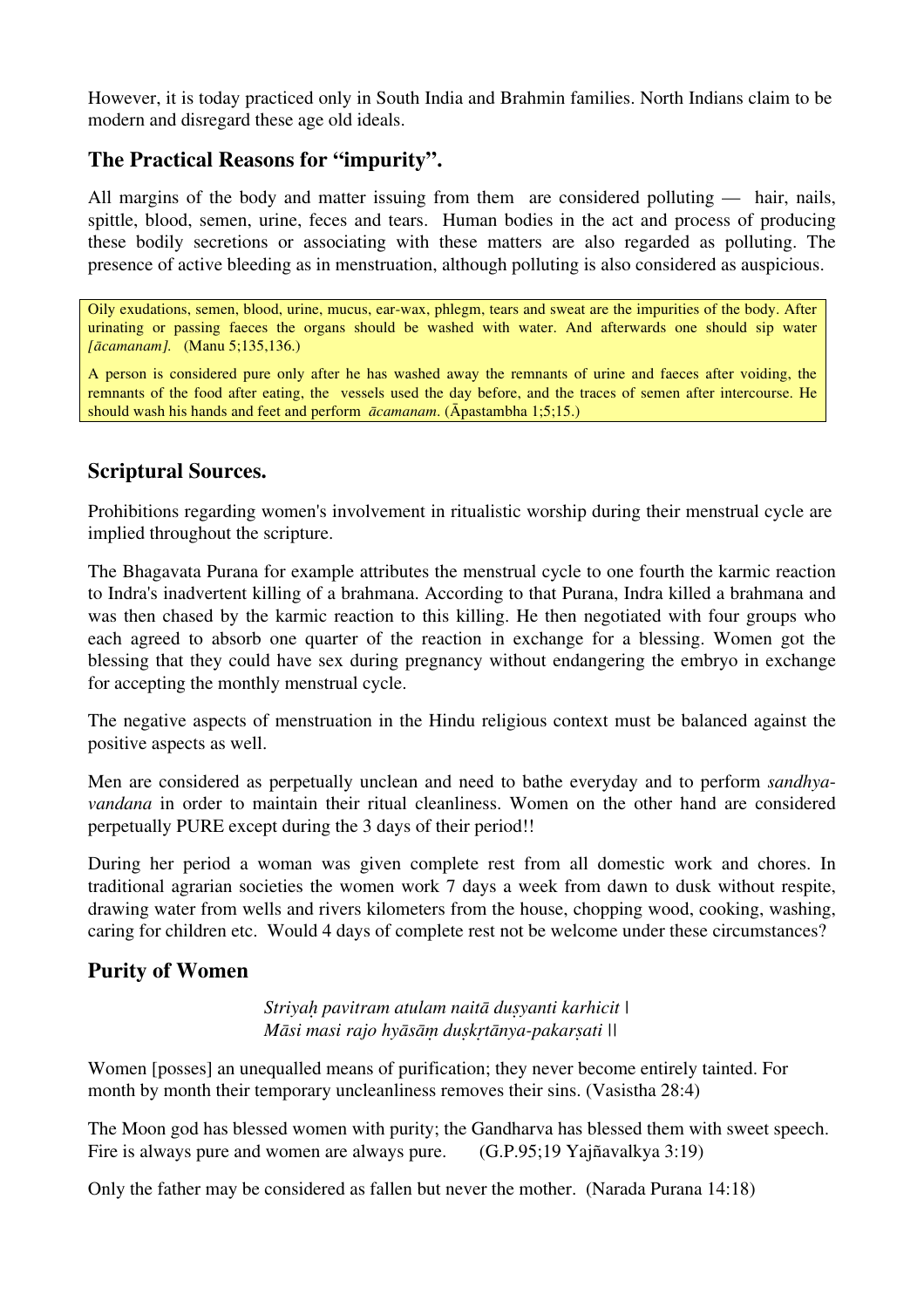However, it is today practiced only in South India and Brahmin families. North Indians claim to be modern and disregard these age old ideals.

### **The Practical Reasons for "impurity".**

All margins of the body and matter issuing from them are considered polluting — hair, nails, spittle, blood, semen, urine, feces and tears. Human bodies in the act and process of producing these bodily secretions or associating with these matters are also regarded as polluting. The presence of active bleeding as in menstruation, although polluting is also considered as auspicious.

Oily exudations, semen, blood, urine, mucus, ear-wax, phlegm, tears and sweat are the impurities of the body. After urinating or passing faeces the organs should be washed with water. And afterwards one should sip water *[ācamanam].* (Manu 5;135,136.)

A person is considered pure only after he has washed away the remnants of urine and faeces after voiding, the remnants of the food after eating, the vessels used the day before, and the traces of semen after intercourse. He should wash his hands and feet and perform *ācamanam*. (Āpastambha 1;5;15.)

#### **Scriptural Sources.**

Prohibitions regarding women's involvement in ritualistic worship during their menstrual cycle are implied throughout the scripture.

The Bhagavata Purana for example attributes the menstrual cycle to one fourth the karmic reaction to Indra's inadvertent killing of a brahmana. According to that Purana, Indra killed a brahmana and was then chased by the karmic reaction to this killing. He then negotiated with four groups who each agreed to absorb one quarter of the reaction in exchange for a blessing. Women got the blessing that they could have sex during pregnancy without endangering the embryo in exchange for accepting the monthly menstrual cycle.

The negative aspects of menstruation in the Hindu religious context must be balanced against the positive aspects as well.

Men are considered as perpetually unclean and need to bathe everyday and to perform *sandhyavandana* in order to maintain their ritual cleanliness. Women on the other hand are considered perpetually PURE except during the 3 days of their period!!

During her period a woman was given complete rest from all domestic work and chores. In traditional agrarian societies the women work 7 days a week from dawn to dusk without respite, drawing water from wells and rivers kilometers from the house, chopping wood, cooking, washing, caring for children etc. Would 4 days of complete rest not be welcome under these circumstances?

### **Purity of Women**

*Striyaḥ pavitram atulam naitā duṣyanti karhicit | Māsi masi rajo hyāsāṃ duṣkṛtānya-pakarṣati ||*

Women [posses] an unequalled means of purification; they never become entirely tainted. For month by month their temporary uncleanliness removes their sins. (Vasistha 28:4)

The Moon god has blessed women with purity; the Gandharva has blessed them with sweet speech. Fire is always pure and women are always pure. (G.P.95;19 Yajñavalkya 3:19)

Only the father may be considered as fallen but never the mother. (Narada Purana 14:18)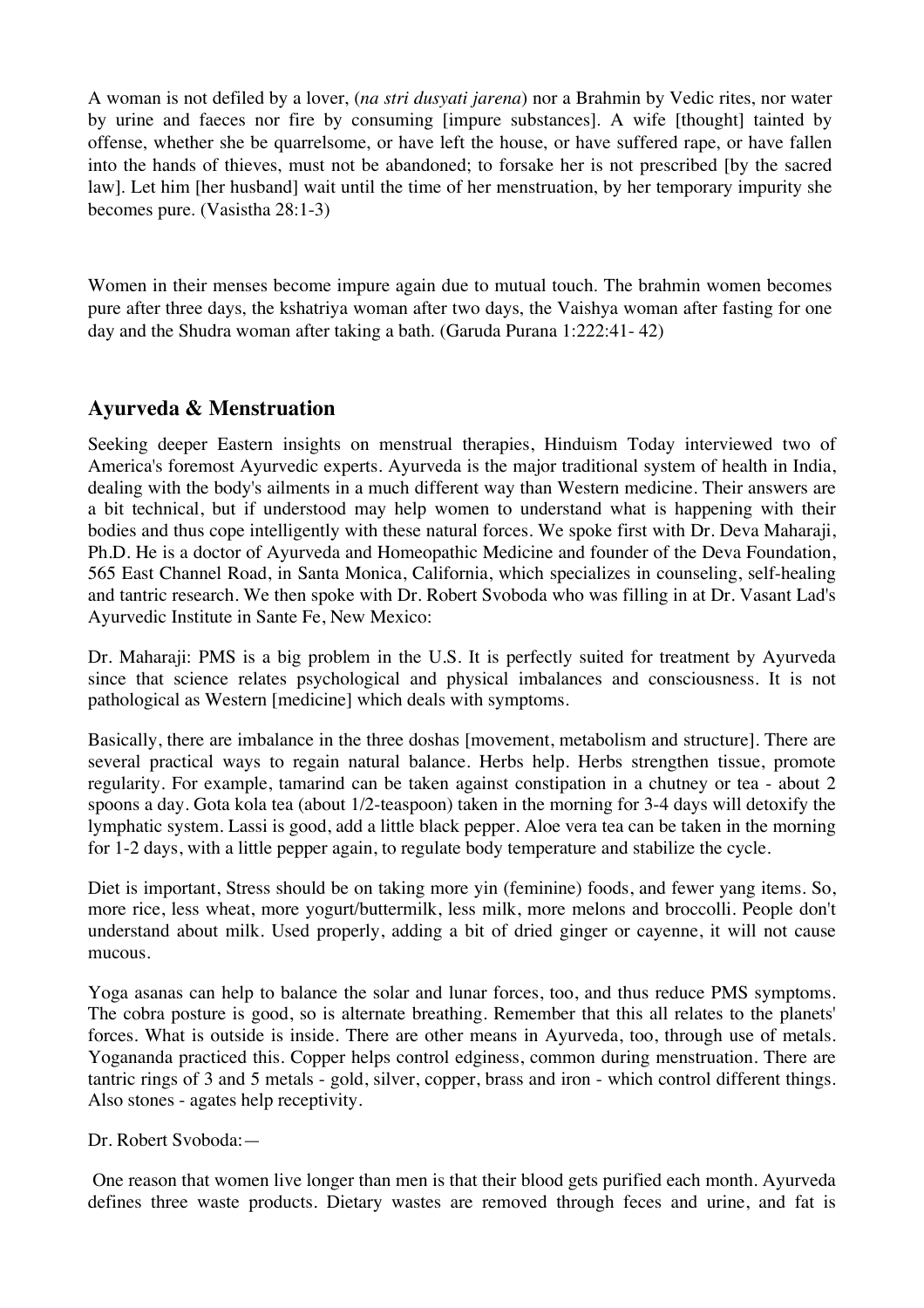A woman is not defiled by a lover, (*na stri dusyati jarena*) nor a Brahmin by Vedic rites, nor water by urine and faeces nor fire by consuming [impure substances]. A wife [thought] tainted by offense, whether she be quarrelsome, or have left the house, or have suffered rape, or have fallen into the hands of thieves, must not be abandoned; to forsake her is not prescribed [by the sacred law]. Let him [her husband] wait until the time of her menstruation, by her temporary impurity she becomes pure. (Vasistha 28:1-3)

Women in their menses become impure again due to mutual touch. The brahmin women becomes pure after three days, the kshatriya woman after two days, the Vaishya woman after fasting for one day and the Shudra woman after taking a bath. (Garuda Purana 1:222:41- 42)

#### **Ayurveda & Menstruation**

Seeking deeper Eastern insights on menstrual therapies, Hinduism Today interviewed two of America's foremost Ayurvedic experts. Ayurveda is the major traditional system of health in India, dealing with the body's ailments in a much different way than Western medicine. Their answers are a bit technical, but if understood may help women to understand what is happening with their bodies and thus cope intelligently with these natural forces. We spoke first with Dr. Deva Maharaji, Ph.D. He is a doctor of Ayurveda and Homeopathic Medicine and founder of the Deva Foundation, 565 East Channel Road, in Santa Monica, California, which specializes in counseling, self-healing and tantric research. We then spoke with Dr. Robert Svoboda who was filling in at Dr. Vasant Lad's Ayurvedic Institute in Sante Fe, New Mexico:

Dr. Maharaji: PMS is a big problem in the U.S. It is perfectly suited for treatment by Ayurveda since that science relates psychological and physical imbalances and consciousness. It is not pathological as Western [medicine] which deals with symptoms.

Basically, there are imbalance in the three doshas [movement, metabolism and structure]. There are several practical ways to regain natural balance. Herbs help. Herbs strengthen tissue, promote regularity. For example, tamarind can be taken against constipation in a chutney or tea - about 2 spoons a day. Gota kola tea (about 1/2-teaspoon) taken in the morning for 3-4 days will detoxify the lymphatic system. Lassi is good, add a little black pepper. Aloe vera tea can be taken in the morning for 1-2 days, with a little pepper again, to regulate body temperature and stabilize the cycle.

Diet is important, Stress should be on taking more yin (feminine) foods, and fewer yang items. So, more rice, less wheat, more yogurt/buttermilk, less milk, more melons and broccolli. People don't understand about milk. Used properly, adding a bit of dried ginger or cayenne, it will not cause mucous.

Yoga asanas can help to balance the solar and lunar forces, too, and thus reduce PMS symptoms. The cobra posture is good, so is alternate breathing. Remember that this all relates to the planets' forces. What is outside is inside. There are other means in Ayurveda, too, through use of metals. Yogananda practiced this. Copper helps control edginess, common during menstruation. There are tantric rings of 3 and 5 metals - gold, silver, copper, brass and iron - which control different things. Also stones - agates help receptivity.

Dr. Robert Svoboda:—

 One reason that women live longer than men is that their blood gets purified each month. Ayurveda defines three waste products. Dietary wastes are removed through feces and urine, and fat is